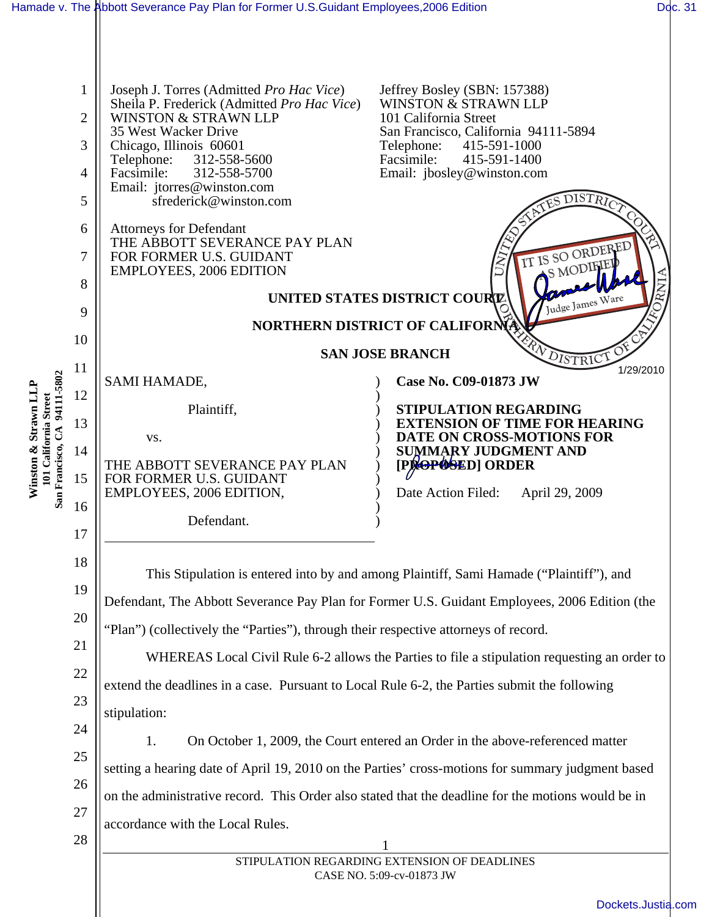| Joseph J. Torres (Admitted Pro Hac Vice)<br>Jeffrey Bosley (SBN: 157388)<br>1<br>WINSTON & STRAWN LLP<br>Sheila P. Frederick (Admitted Pro Hac Vice)<br>2<br><b>WINSTON &amp; STRAWN LLP</b><br>101 California Street<br>35 West Wacker Drive<br>San Francisco, California 94111-5894<br>3<br>Chicago, Illinois 60601<br>Telephone:<br>415-591-1000<br>Facsimile:<br>Telephone:<br>415-591-1400<br>312-558-5600<br>Facsimile:<br>Email: jbosley@winston.com<br>312-558-5700<br>4<br>Email: jtorres@winston.com<br>$\overline{MST}$<br>5<br>sfrederick@winston.com<br>6<br><b>Attorneys for Defendant</b><br>THE ABBOTT SEVERANCE PAY PLAN<br>IT IS SO ORDERED<br>7<br>FOR FORMER U.S. GUIDANT<br>S MODIFIEL<br><b>EMPLOYEES, 2006 EDITION</b><br>8<br>UNITED STATES DISTRICT COURT<br>Judge James Ware<br>9<br>NORTHERN DISTRICT OF CALIFORNIA<br>10<br><b>SAN JOSE BRANCH</b><br>DISTRICI<br>11<br>1/29/2010<br>94111-5802<br>SAMI HAMADE,<br>Case No. C09-01873 JW<br>Winston & Strawn LLP<br>12<br>101 California Street<br>Plaintiff,<br>STIPULATION REGARDING<br>13<br><b>EXTENSION OF TIME FOR HEARING</b><br>San Francisco, CA<br>DATE ON CROSS-MOTIONS FOR<br>VS.<br>14<br><b>SUMMARY JUDGMENT AND</b><br>[PROPOSED] ORDER<br>THE ABBOTT SEVERANCE PAY PLAN<br>15<br>FOR FORMER U.S. GUIDANT<br>EMPLOYEES, 2006 EDITION,<br>Date Action Filed:<br>April 29, 2009<br>16<br>Defendant.<br>17<br>18<br>This Stipulation is entered into by and among Plaintiff, Sami Hamade ("Plaintiff"), and<br>19<br>Defendant, The Abbott Severance Pay Plan for Former U.S. Guidant Employees, 2006 Edition (the<br>20<br>"Plan") (collectively the "Parties"), through their respective attorneys of record.<br>21<br>WHEREAS Local Civil Rule 6-2 allows the Parties to file a stipulation requesting an order to<br>22<br>extend the deadlines in a case. Pursuant to Local Rule 6-2, the Parties submit the following<br>23<br>stipulation:<br>24<br>On October 1, 2009, the Court entered an Order in the above-referenced matter<br>1.<br>25<br>setting a hearing date of April 19, 2010 on the Parties' cross-motions for summary judgment based<br>26<br>on the administrative record. This Order also stated that the deadline for the motions would be in<br>27<br>accordance with the Local Rules.<br>28<br>STIPULATION REGARDING EXTENSION OF DEADLINES<br>CASE NO. 5:09-cv-01873 JW | Dockets.Justia.com |  | Hamade v. The Abbott Severance Pay Plan for Former U.S.Guidant Employees,2006 Edition |  | Doc. 31 |  |
|--------------------------------------------------------------------------------------------------------------------------------------------------------------------------------------------------------------------------------------------------------------------------------------------------------------------------------------------------------------------------------------------------------------------------------------------------------------------------------------------------------------------------------------------------------------------------------------------------------------------------------------------------------------------------------------------------------------------------------------------------------------------------------------------------------------------------------------------------------------------------------------------------------------------------------------------------------------------------------------------------------------------------------------------------------------------------------------------------------------------------------------------------------------------------------------------------------------------------------------------------------------------------------------------------------------------------------------------------------------------------------------------------------------------------------------------------------------------------------------------------------------------------------------------------------------------------------------------------------------------------------------------------------------------------------------------------------------------------------------------------------------------------------------------------------------------------------------------------------------------------------------------------------------------------------------------------------------------------------------------------------------------------------------------------------------------------------------------------------------------------------------------------------------------------------------------------------------------------------------------------------------------------------------------------------------------------------------------------------------------------------------------|--------------------|--|---------------------------------------------------------------------------------------|--|---------|--|
|                                                                                                                                                                                                                                                                                                                                                                                                                                                                                                                                                                                                                                                                                                                                                                                                                                                                                                                                                                                                                                                                                                                                                                                                                                                                                                                                                                                                                                                                                                                                                                                                                                                                                                                                                                                                                                                                                                                                                                                                                                                                                                                                                                                                                                                                                                                                                                                            |                    |  |                                                                                       |  |         |  |
|                                                                                                                                                                                                                                                                                                                                                                                                                                                                                                                                                                                                                                                                                                                                                                                                                                                                                                                                                                                                                                                                                                                                                                                                                                                                                                                                                                                                                                                                                                                                                                                                                                                                                                                                                                                                                                                                                                                                                                                                                                                                                                                                                                                                                                                                                                                                                                                            |                    |  |                                                                                       |  |         |  |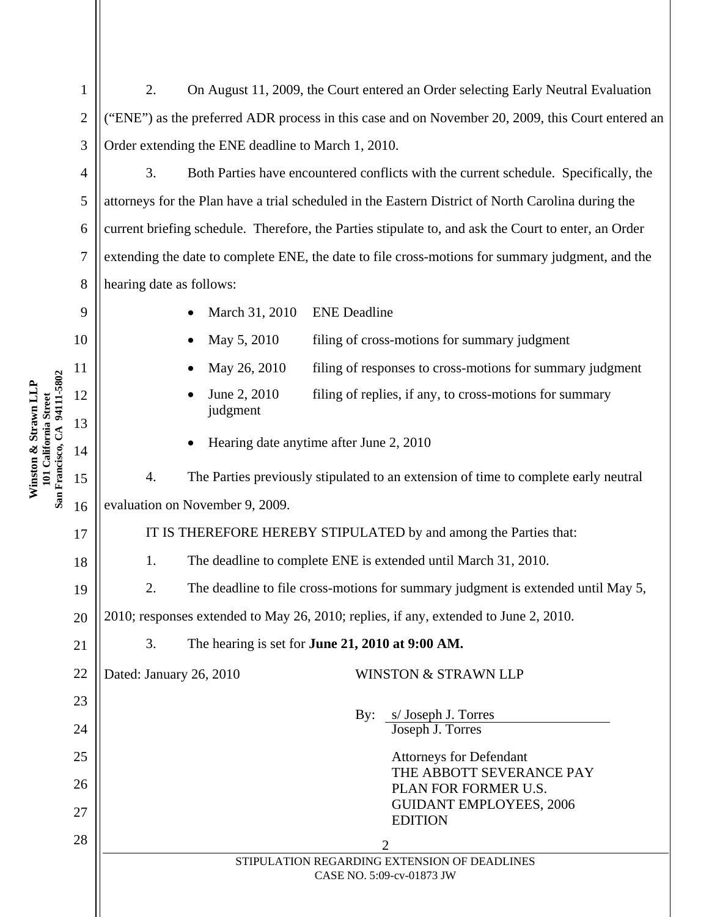2 3 2. On August 11, 2009, the Court entered an Order selecting Early Neutral Evaluation ("ENE") as the preferred ADR process in this case and on November 20, 2009, this Court entered an Order extending the ENE deadline to March 1, 2010.

3. Both Parties have encountered conflicts with the current schedule. Specifically, the attorneys for the Plan have a trial scheduled in the Eastern District of North Carolina during the current briefing schedule. Therefore, the Parties stipulate to, and ask the Court to enter, an Order extending the date to complete ENE, the date to file cross-motions for summary judgment, and the hearing date as follows:

- March 31, 2010 ENE Deadline
- May 5, 2010 filing of cross-motions for summary judgment
- May 26, 2010 filing of responses to cross-motions for summary judgment
- June 2, 2010 filing of replies, if any, to cross-motions for summary judgment
- Hearing date anytime after June 2, 2010

4. The Parties previously stipulated to an extension of time to complete early neutral evaluation on November 9, 2009.

IT IS THEREFORE HEREBY STIPULATED by and among the Parties that:

- 1. The deadline to complete ENE is extended until March 31, 2010.
- 2. The deadline to file cross-motions for summary judgment is extended until May 5,

2010; responses extended to May 26, 2010; replies, if any, extended to June 2, 2010.

3. The hearing is set for **June 21, 2010 at 9:00 AM.** 

22

## Dated: January 26, 2010 WINSTON & STRAWN LLP

 By: s/ Joseph J. Torres Joseph J. Torres

> Attorneys for Defendant THE ABBOTT SEVERANCE PAY PLAN FOR FORMER U.S. GUIDANT EMPLOYEES, 2006 EDITION

 $\begin{array}{c|c|c|c|c} \hline 28 & 2 & 2 \end{array}$ STIPULATION REGARDING EXTENSION OF DEADLINES CASE NO. 5:09-cv-01873 JW

## Winston & Strawn LLP<br>101 California Street<br>San Francisco, CA 94111-5802 **San Francisco, CA 94111-5802 Winston & Strawn LLP 101 California Street**  15

1

4

5

6

7

8

9

10

11

12

13

14

16

17

18

19

20

21

23

24

25

26

27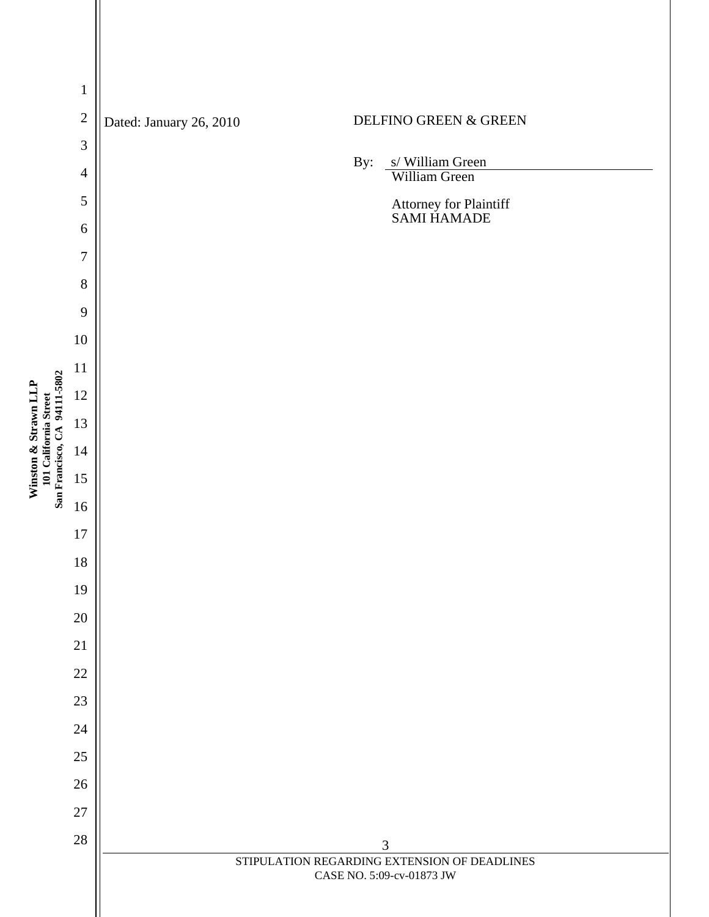